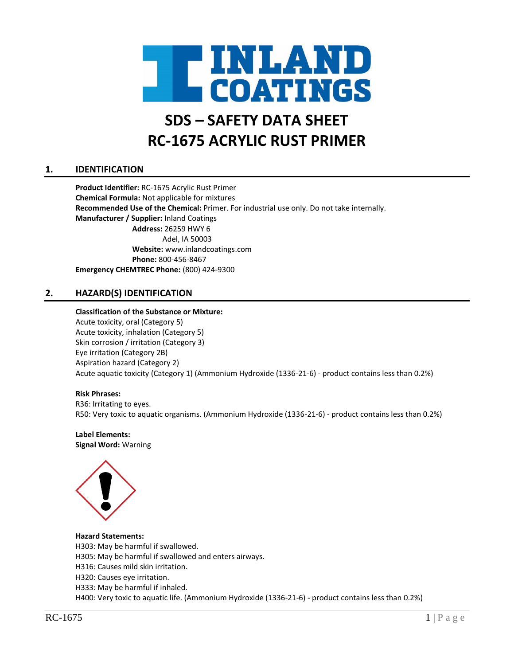

# **SDS – SAFETY DATA SHEET RC-1675 ACRYLIC RUST PRIMER**

# **1. IDENTIFICATION**

**Product Identifier:** RC-1675 Acrylic Rust Primer **Chemical Formula:** Not applicable for mixtures **Recommended Use of the Chemical:** Primer. For industrial use only. Do not take internally. **Manufacturer / Supplier:** Inland Coatings **Address:** 26259 HWY 6 Adel, IA 50003 **Website:** www.inlandcoatings.com **Phone:** 800-456-8467 **Emergency CHEMTREC Phone:** (800) 424-9300

# **2. HAZARD(S) IDENTIFICATION**

#### **Classification of the Substance or Mixture:**

Acute toxicity, oral (Category 5) Acute toxicity, inhalation (Category 5) Skin corrosion / irritation (Category 3) Eye irritation (Category 2B) Aspiration hazard (Category 2) Acute aquatic toxicity (Category 1) (Ammonium Hydroxide (1336-21-6) - product contains less than 0.2%)

#### **Risk Phrases:**

R36: Irritating to eyes. R50: Very toxic to aquatic organisms. (Ammonium Hydroxide (1336-21-6) - product contains less than 0.2%)

#### **Label Elements: Signal Word:** Warning

**Hazard Statements:**

H303: May be harmful if swallowed.

H305: May be harmful if swallowed and enters airways.

- H316: Causes mild skin irritation.
- H320: Causes eye irritation.
- H333: May be harmful if inhaled.

H400: Very toxic to aquatic life. (Ammonium Hydroxide (1336-21-6) - product contains less than 0.2%)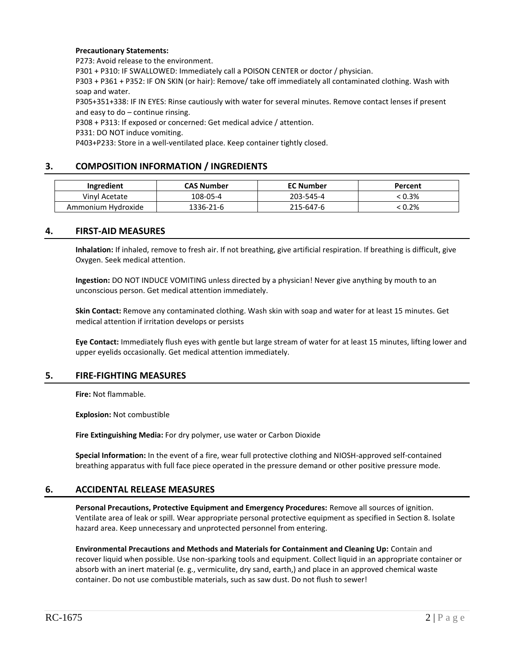#### **Precautionary Statements:**

P273: Avoid release to the environment.

P301 + P310: IF SWALLOWED: Immediately call a POISON CENTER or doctor / physician.

P303 + P361 + P352: IF ON SKIN (or hair): Remove/ take off immediately all contaminated clothing. Wash with soap and water.

P305+351+338: IF IN EYES: Rinse cautiously with water for several minutes. Remove contact lenses if present and easy to do – continue rinsing.

P308 + P313: If exposed or concerned: Get medical advice / attention.

P331: DO NOT induce vomiting.

P403+P233: Store in a well-ventilated place. Keep container tightly closed.

# **3. COMPOSITION INFORMATION / INGREDIENTS**

| <b>Ingredient</b>  | <b>CAS Number</b> | <b>EC Number</b> | Percent  |
|--------------------|-------------------|------------------|----------|
| Vinyl Acetate      | 108-05-4          | 203-545-4        | $-0.3\%$ |
| Ammonium Hydroxide | 1336-21-6         | 215-647-6        | $.0.2\%$ |

#### **4. FIRST-AID MEASURES**

**Inhalation:** If inhaled, remove to fresh air. If not breathing, give artificial respiration. If breathing is difficult, give Oxygen. Seek medical attention.

**Ingestion:** DO NOT INDUCE VOMITING unless directed by a physician! Never give anything by mouth to an unconscious person. Get medical attention immediately.

**Skin Contact:** Remove any contaminated clothing. Wash skin with soap and water for at least 15 minutes. Get medical attention if irritation develops or persists

**Eye Contact:** Immediately flush eyes with gentle but large stream of water for at least 15 minutes, lifting lower and upper eyelids occasionally. Get medical attention immediately.

# **5. FIRE-FIGHTING MEASURES**

**Fire:** Not flammable.

**Explosion:** Not combustible

**Fire Extinguishing Media:** For dry polymer, use water or Carbon Dioxide

**Special Information:** In the event of a fire, wear full protective clothing and NIOSH-approved self-contained breathing apparatus with full face piece operated in the pressure demand or other positive pressure mode.

#### **6. ACCIDENTAL RELEASE MEASURES**

**Personal Precautions, Protective Equipment and Emergency Procedures:** Remove all sources of ignition. Ventilate area of leak or spill. Wear appropriate personal protective equipment as specified in Section 8. Isolate hazard area. Keep unnecessary and unprotected personnel from entering.

**Environmental Precautions and Methods and Materials for Containment and Cleaning Up:** Contain and recover liquid when possible. Use non-sparking tools and equipment. Collect liquid in an appropriate container or absorb with an inert material (e. g., vermiculite, dry sand, earth,) and place in an approved chemical waste container. Do not use combustible materials, such as saw dust. Do not flush to sewer!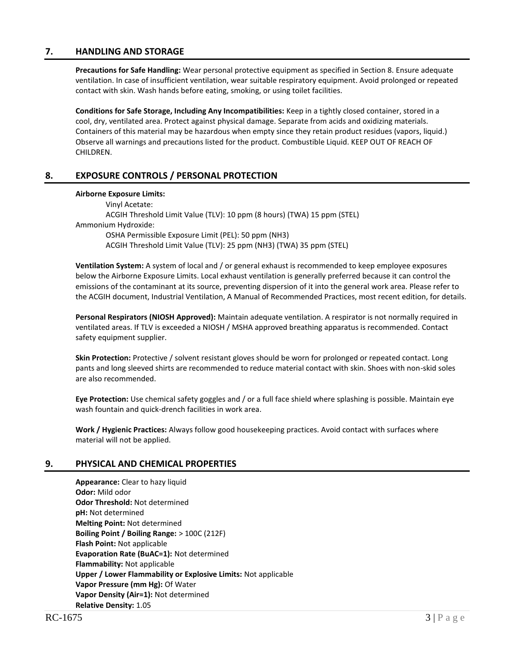# **7. HANDLING AND STORAGE**

**Precautions for Safe Handling:** Wear personal protective equipment as specified in Section 8. Ensure adequate ventilation. In case of insufficient ventilation, wear suitable respiratory equipment. Avoid prolonged or repeated contact with skin. Wash hands before eating, smoking, or using toilet facilities.

**Conditions for Safe Storage, Including Any Incompatibilities:** Keep in a tightly closed container, stored in a cool, dry, ventilated area. Protect against physical damage. Separate from acids and oxidizing materials. Containers of this material may be hazardous when empty since they retain product residues (vapors, liquid.) Observe all warnings and precautions listed for the product. Combustible Liquid. KEEP OUT OF REACH OF CHILDREN.

# **8. EXPOSURE CONTROLS / PERSONAL PROTECTION**

#### **Airborne Exposure Limits:**

Vinyl Acetate: ACGIH Threshold Limit Value (TLV): 10 ppm (8 hours) (TWA) 15 ppm (STEL) Ammonium Hydroxide: OSHA Permissible Exposure Limit (PEL): 50 ppm (NH3) ACGIH Threshold Limit Value (TLV): 25 ppm (NH3) (TWA) 35 ppm (STEL)

**Ventilation System:** A system of local and / or general exhaust is recommended to keep employee exposures below the Airborne Exposure Limits. Local exhaust ventilation is generally preferred because it can control the emissions of the contaminant at its source, preventing dispersion of it into the general work area. Please refer to the ACGIH document, Industrial Ventilation, A Manual of Recommended Practices, most recent edition, for details.

**Personal Respirators (NIOSH Approved):** Maintain adequate ventilation. A respirator is not normally required in ventilated areas. If TLV is exceeded a NIOSH / MSHA approved breathing apparatus is recommended. Contact safety equipment supplier.

**Skin Protection:** Protective / solvent resistant gloves should be worn for prolonged or repeated contact. Long pants and long sleeved shirts are recommended to reduce material contact with skin. Shoes with non-skid soles are also recommended.

**Eye Protection:** Use chemical safety goggles and / or a full face shield where splashing is possible. Maintain eye wash fountain and quick-drench facilities in work area.

**Work / Hygienic Practices:** Always follow good housekeeping practices. Avoid contact with surfaces where material will not be applied.

#### **9. PHYSICAL AND CHEMICAL PROPERTIES**

**Appearance:** Clear to hazy liquid **Odor:** Mild odor **Odor Threshold:** Not determined **pH:** Not determined **Melting Point:** Not determined **Boiling Point / Boiling Range:** > 100C (212F) **Flash Point:** Not applicable **Evaporation Rate (BuAC=1):** Not determined **Flammability:** Not applicable **Upper / Lower Flammability or Explosive Limits:** Not applicable **Vapor Pressure (mm Hg):** Of Water **Vapor Density (Air=1):** Not determined **Relative Density:** 1.05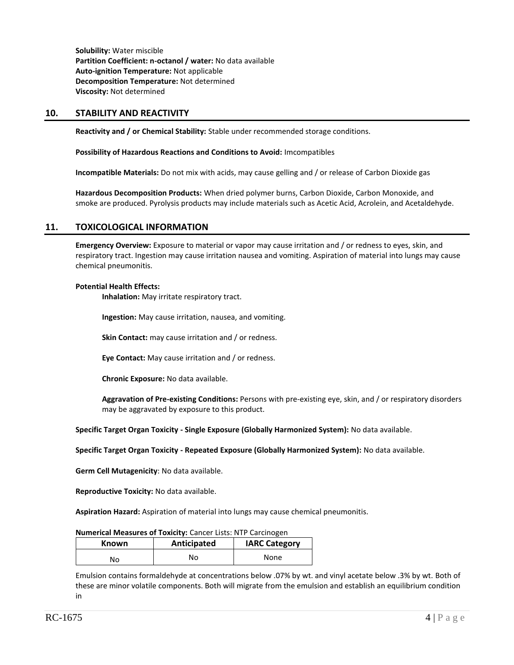**Solubility:** Water miscible **Partition Coefficient: n-octanol / water:** No data available **Auto-ignition Temperature:** Not applicable **Decomposition Temperature:** Not determined **Viscosity:** Not determined

# **10. STABILITY AND REACTIVITY**

**Reactivity and / or Chemical Stability:** Stable under recommended storage conditions.

**Possibility of Hazardous Reactions and Conditions to Avoid:** Imcompatibles

**Incompatible Materials:** Do not mix with acids, may cause gelling and / or release of Carbon Dioxide gas

**Hazardous Decomposition Products:** When dried polymer burns, Carbon Dioxide, Carbon Monoxide, and smoke are produced. Pyrolysis products may include materials such as Acetic Acid, Acrolein, and Acetaldehyde.

#### **11. TOXICOLOGICAL INFORMATION**

**Emergency Overview:** Exposure to material or vapor may cause irritation and / or redness to eyes, skin, and respiratory tract. Ingestion may cause irritation nausea and vomiting. Aspiration of material into lungs may cause chemical pneumonitis.

#### **Potential Health Effects:**

**Inhalation:** May irritate respiratory tract.

**Ingestion:** May cause irritation, nausea, and vomiting.

**Skin Contact:** may cause irritation and / or redness.

**Eye Contact:** May cause irritation and / or redness.

**Chronic Exposure:** No data available.

**Aggravation of Pre-existing Conditions:** Persons with pre-existing eye, skin, and / or respiratory disorders may be aggravated by exposure to this product.

**Specific Target Organ Toxicity - Single Exposure (Globally Harmonized System):** No data available.

**Specific Target Organ Toxicity - Repeated Exposure (Globally Harmonized System):** No data available.

**Germ Cell Mutagenicity**: No data available.

**Reproductive Toxicity:** No data available.

**Aspiration Hazard:** Aspiration of material into lungs may cause chemical pneumonitis.

#### **Numerical Measures of Toxicity:** Cancer Lists: NTP Carcinogen

| <b>Known</b> | Anticipated | <b>IARC Category</b> |
|--------------|-------------|----------------------|
| No           | No          | None                 |

Emulsion contains formaldehyde at concentrations below .07% by wt. and vinyl acetate below .3% by wt. Both of these are minor volatile components. Both will migrate from the emulsion and establish an equilibrium condition in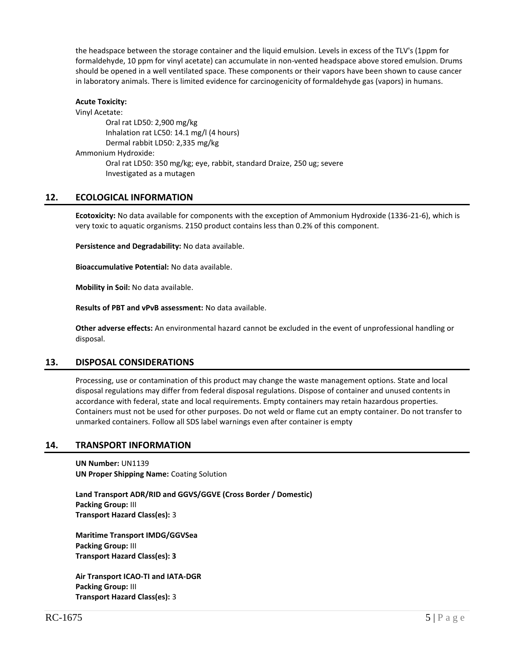the headspace between the storage container and the liquid emulsion. Levels in excess of the TLV's (1ppm for formaldehyde, 10 ppm for vinyl acetate) can accumulate in non-vented headspace above stored emulsion. Drums should be opened in a well ventilated space. These components or their vapors have been shown to cause cancer in laboratory animals. There is limited evidence for carcinogenicity of formaldehyde gas (vapors) in humans.

#### **Acute Toxicity:** Vinyl Acetate: Oral rat LD50: 2,900 mg/kg Inhalation rat LC50: 14.1 mg/l (4 hours) Dermal rabbit LD50: 2,335 mg/kg Ammonium Hydroxide: Oral rat LD50: 350 mg/kg; eye, rabbit, standard Draize, 250 ug; severe Investigated as a mutagen

# **12. ECOLOGICAL INFORMATION**

**Ecotoxicity:** No data available for components with the exception of Ammonium Hydroxide (1336-21-6), which is very toxic to aquatic organisms. 2150 product contains less than 0.2% of this component.

**Persistence and Degradability:** No data available.

**Bioaccumulative Potential:** No data available.

**Mobility in Soil:** No data available.

**Results of PBT and vPvB assessment:** No data available.

**Other adverse effects:** An environmental hazard cannot be excluded in the event of unprofessional handling or disposal.

# **13. DISPOSAL CONSIDERATIONS**

Processing, use or contamination of this product may change the waste management options. State and local disposal regulations may differ from federal disposal regulations. Dispose of container and unused contents in accordance with federal, state and local requirements. Empty containers may retain hazardous properties. Containers must not be used for other purposes. Do not weld or flame cut an empty container. Do not transfer to unmarked containers. Follow all SDS label warnings even after container is empty

#### **14. TRANSPORT INFORMATION**

**UN Number:** UN1139 **UN Proper Shipping Name:** Coating Solution

**Land Transport ADR/RID and GGVS/GGVE (Cross Border / Domestic) Packing Group:** III **Transport Hazard Class(es):** 3

**Maritime Transport IMDG/GGVSea Packing Group:** III **Transport Hazard Class(es): 3**

**Air Transport ICAO-TI and IATA-DGR Packing Group:** III **Transport Hazard Class(es):** 3